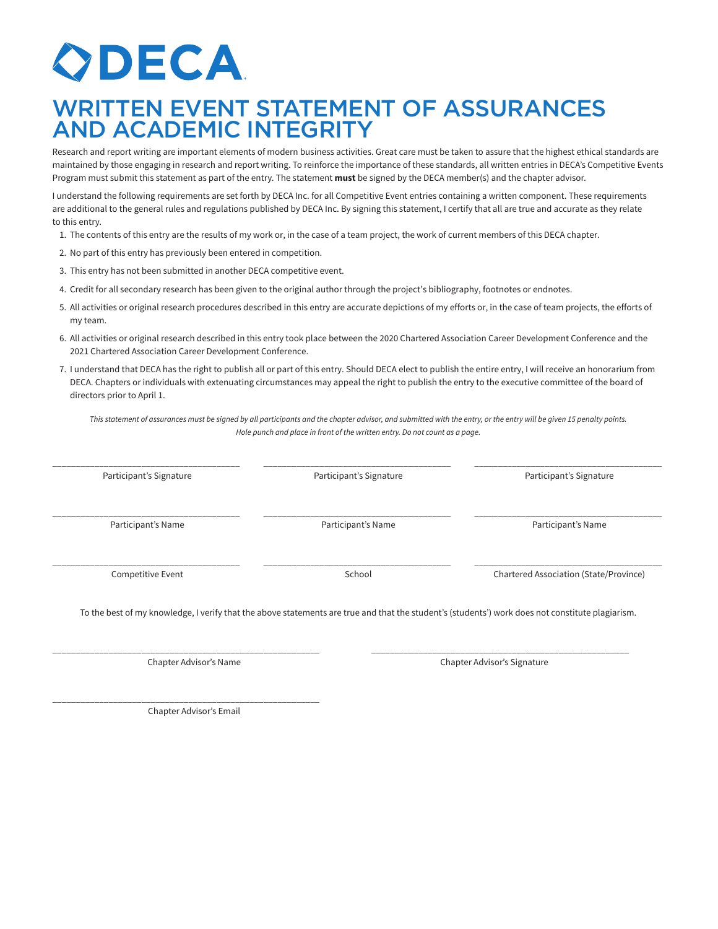# **ODECA**

### WRITTEN EVENT STATEMENT OF ASSURANCES AND ACADEMIC INTEGRITY

Research and report writing are important elements of modern business activities. Great care must be taken to assure that the highest ethical standards are maintained by those engaging in research and report writing. To reinforce the importance of these standards, all written entries in DECA's Competitive Events Program must submit this statement as part of the entry. The statement **must** be signed by the DECA member(s) and the chapter advisor.

I understand the following requirements are set forth by DECA Inc. for all Competitive Event entries containing a written component. These requirements are additional to the general rules and regulations published by DECA Inc. By signing this statement, I certify that all are true and accurate as they relate to this entry.

- 1. The contents of this entry are the results of my work or, in the case of a team project, the work of current members of this DECA chapter.
- 2. No part of this entry has previously been entered in competition.
- 3. This entry has not been submitted in another DECA competitive event.
- 4. Credit for all secondary research has been given to the original author through the project's bibliography, footnotes or endnotes.
- 5. All activities or original research procedures described in this entry are accurate depictions of my efforts or, in the case of team projects, the efforts of my team.
- 6. All activities or original research described in this entry took place between the 2020 Chartered Association Career Development Conference and the 2021 Chartered Association Career Development Conference.
- 7. I understand that DECA has the right to publish all or part of this entry. Should DECA elect to publish the entire entry, I will receive an honorarium from DECA. Chapters or individuals with extenuating circumstances may appeal the right to publish the entry to the executive committee of the board of directors prior to April 1.

This statement of assurances must be signed by all participants and the chapter advisor, and submitted with the entry, or the entry will be given 15 penalty points. Hole punch and place in front of the written entry. Do not count as a page.

| Participant's Signature | Participant's Signature | Participant's Signature                |
|-------------------------|-------------------------|----------------------------------------|
| Participant's Name      | Participant's Name      | Participant's Name                     |
| Competitive Event       | School                  | Chartered Association (State/Province) |

\_\_\_\_\_\_\_\_\_\_\_\_\_\_\_\_\_\_\_\_\_\_\_\_\_\_\_\_\_\_\_\_\_\_\_\_\_\_\_\_\_\_\_\_\_\_\_\_\_\_\_\_\_\_\_\_\_ \_\_\_\_\_\_\_\_\_\_\_\_\_\_\_\_\_\_\_\_\_\_\_\_\_\_\_\_\_\_\_\_\_\_\_\_\_\_\_\_\_\_\_\_\_\_\_\_\_\_\_\_\_\_\_

Chapter Advisor's Name Chapter Advisor's Signature

\_\_\_\_\_\_\_\_\_\_\_\_\_\_\_\_\_\_\_\_\_\_\_\_\_\_\_\_\_\_\_\_\_\_\_\_\_\_\_\_\_\_\_\_\_\_\_\_\_\_\_\_\_\_\_\_\_ Chapter Advisor's Email